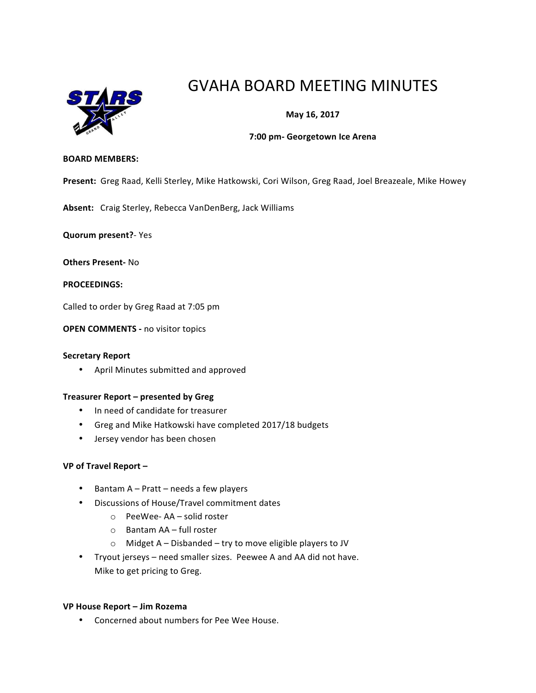

# GVAHA BOARD MEETING MINUTES

## **May 16, 2017**

### **7:00 pm- Georgetown Ice Arena**

#### **BOARD MEMBERS:**

Present: Greg Raad, Kelli Sterley, Mike Hatkowski, Cori Wilson, Greg Raad, Joel Breazeale, Mike Howey

Absent: Craig Sterley, Rebecca VanDenBerg, Jack Williams

**Quorum present?**- Yes

**Others Present-** No

**PROCEEDINGS:**

Called to order by Greg Raad at 7:05 pm

**OPEN COMMENTS - no visitor topics** 

### **Secretary Report**

• April Minutes submitted and approved

#### **Treasurer Report – presented by Greg**

- In need of candidate for treasurer
- Greg and Mike Hatkowski have completed 2017/18 budgets
- Jersey vendor has been chosen

#### **VP of Travel Report –**

- Bantam  $A Part needs a few players$
- Discussions of House/Travel commitment dates
	- $\circ$  PeeWee-AA solid roster
	- o Bantam AA – full roster
	- $\circ$  Midget A Disbanded try to move eligible players to JV
- Tryout jerseys need smaller sizes. Peewee A and AA did not have. Mike to get pricing to Greg.

#### **VP House Report – Jim Rozema**

• Concerned about numbers for Pee Wee House.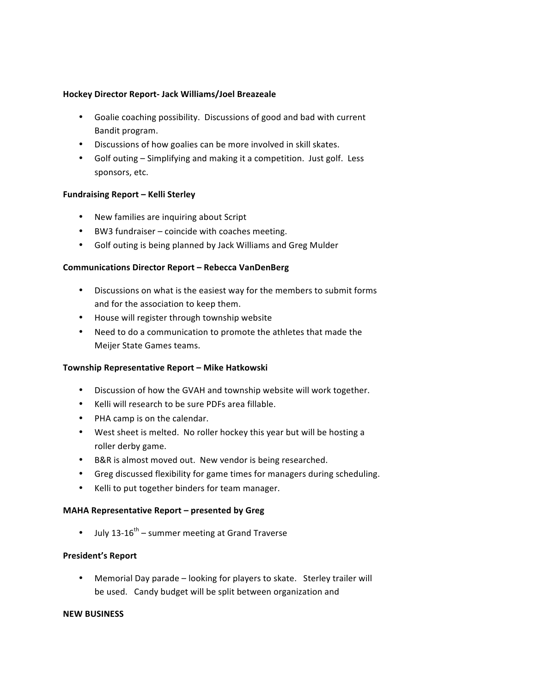## **Hockey Director Report- Jack Williams/Joel Breazeale**

- Goalie coaching possibility. Discussions of good and bad with current Bandit program.
- Discussions of how goalies can be more involved in skill skates.
- Golf outing Simplifying and making it a competition. Just golf. Less sponsors, etc.

## **Fundraising Report – Kelli Sterley**

- New families are inquiring about Script
- BW3 fundraiser coincide with coaches meeting.
- Golf outing is being planned by Jack Williams and Greg Mulder

## **Communications Director Report – Rebecca VanDenBerg**

- Discussions on what is the easiest way for the members to submit forms and for the association to keep them.
- House will register through township website
- Need to do a communication to promote the athletes that made the Meijer State Games teams.

#### **Township Representative Report – Mike Hatkowski**

- Discussion of how the GVAH and township website will work together.
- Kelli will research to be sure PDFs area fillable.
- PHA camp is on the calendar.
- West sheet is melted. No roller hockey this year but will be hosting a roller derby game.
- B&R is almost moved out. New vendor is being researched.
- Greg discussed flexibility for game times for managers during scheduling.
- Kelli to put together binders for team manager.

## **MAHA Representative Report – presented by Greg**

• July 13-16<sup>th</sup> – summer meeting at Grand Traverse

## **President's Report**

• Memorial Day parade – looking for players to skate. Sterley trailer will be used. Candy budget will be split between organization and

#### **NEW BUSINESS**